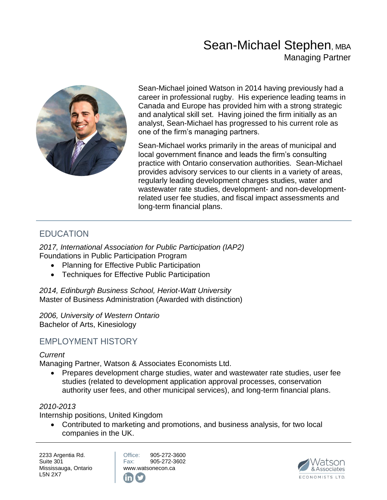# Sean-Michael Stephen, MBA Managing Partner



Sean-Michael joined Watson in 2014 having previously had a career in professional rugby. His experience leading teams in Canada and Europe has provided him with a strong strategic and analytical skill set. Having joined the firm initially as an analyst, Sean-Michael has progressed to his current role as one of the firm's managing partners.

Sean-Michael works primarily in the areas of municipal and local government finance and leads the firm's consulting practice with Ontario conservation authorities. Sean-Michael provides advisory services to our clients in a variety of areas, regularly leading development charges studies, water and wastewater rate studies, development- and non-developmentrelated user fee studies, and fiscal impact assessments and long-term financial plans.

### EDUCATION

*2017, International Association for Public Participation (IAP2)*  Foundations in Public Participation Program

- Planning for Effective Public Participation
- Techniques for Effective Public Participation

*2014, Edinburgh Business School, Heriot-Watt University*  Master of Business Administration (Awarded with distinction)

*2006, University of Western Ontario*  Bachelor of Arts, Kinesiology

### EMPLOYMENT HISTORY

#### *Current*

Managing Partner, Watson & Associates Economists Ltd.

• Prepares development charge studies, water and wastewater rate studies, user fee studies (related to development application approval processes, conservation authority user fees, and other municipal services), and long-term financial plans.

#### *2010-2013*

Internship positions, United Kingdom

• Contributed to marketing and promotions, and business analysis, for two local companies in the UK.

2233 Argentia Rd. Suite 301 Mississauga, Ontario L5N 2X7

Office: 905-272-3600 Fax: 905-272-3602 [www.watsonecon.ca](http://www.watsonecon.ca/)